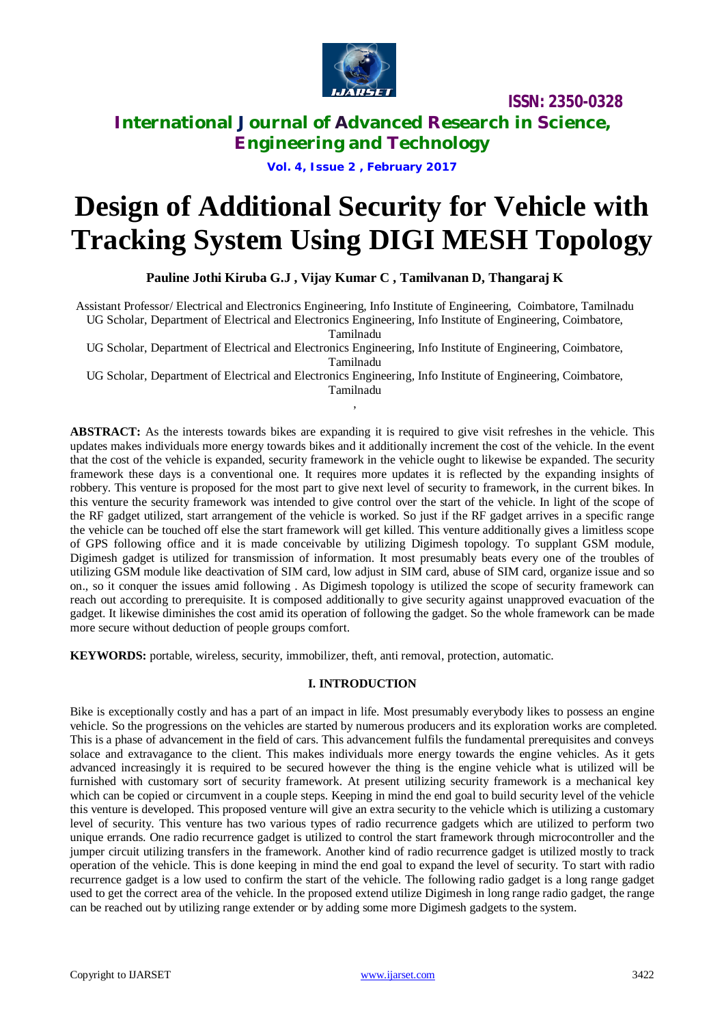

**ISSN: 2350-0328**

## **International Journal of Advanced Research in Science, Engineering and Technology**

**Vol. 4, Issue 2 , February 2017**

# **Design of Additional Security for Vehicle with Tracking System Using DIGI MESH Topology**

**Pauline Jothi Kiruba G.J , Vijay Kumar C , Tamilvanan D, Thangaraj K**

Assistant Professor/ Electrical and Electronics Engineering, Info Institute of Engineering, Coimbatore, Tamilnadu UG Scholar, Department of Electrical and Electronics Engineering, Info Institute of Engineering, Coimbatore,

Tamilnadu

UG Scholar, Department of Electrical and Electronics Engineering, Info Institute of Engineering, Coimbatore, Tamilnadu

UG Scholar, Department of Electrical and Electronics Engineering, Info Institute of Engineering, Coimbatore, Tamilnadu ,

**ABSTRACT:** As the interests towards bikes are expanding it is required to give visit refreshes in the vehicle. This updates makes individuals more energy towards bikes and it additionally increment the cost of the vehicle. In the event that the cost of the vehicle is expanded, security framework in the vehicle ought to likewise be expanded. The security framework these days is a conventional one. It requires more updates it is reflected by the expanding insights of robbery. This venture is proposed for the most part to give next level of security to framework, in the current bikes. In this venture the security framework was intended to give control over the start of the vehicle. In light of the scope of the RF gadget utilized, start arrangement of the vehicle is worked. So just if the RF gadget arrives in a specific range the vehicle can be touched off else the start framework will get killed. This venture additionally gives a limitless scope of GPS following office and it is made conceivable by utilizing Digimesh topology. To supplant GSM module, Digimesh gadget is utilized for transmission of information. It most presumably beats every one of the troubles of utilizing GSM module like deactivation of SIM card, low adjust in SIM card, abuse of SIM card, organize issue and so on., so it conquer the issues amid following . As Digimesh topology is utilized the scope of security framework can reach out according to prerequisite. It is composed additionally to give security against unapproved evacuation of the gadget. It likewise diminishes the cost amid its operation of following the gadget. So the whole framework can be made more secure without deduction of people groups comfort.

**KEYWORDS:** portable, wireless, security, immobilizer, theft, anti removal, protection, automatic.

## **I. INTRODUCTION**

Bike is exceptionally costly and has a part of an impact in life. Most presumably everybody likes to possess an engine vehicle. So the progressions on the vehicles are started by numerous producers and its exploration works are completed. This is a phase of advancement in the field of cars. This advancement fulfils the fundamental prerequisites and conveys solace and extravagance to the client. This makes individuals more energy towards the engine vehicles. As it gets advanced increasingly it is required to be secured however the thing is the engine vehicle what is utilized will be furnished with customary sort of security framework. At present utilizing security framework is a mechanical key which can be copied or circumvent in a couple steps. Keeping in mind the end goal to build security level of the vehicle this venture is developed. This proposed venture will give an extra security to the vehicle which is utilizing a customary level of security. This venture has two various types of radio recurrence gadgets which are utilized to perform two unique errands. One radio recurrence gadget is utilized to control the start framework through microcontroller and the jumper circuit utilizing transfers in the framework. Another kind of radio recurrence gadget is utilized mostly to track operation of the vehicle. This is done keeping in mind the end goal to expand the level of security. To start with radio recurrence gadget is a low used to confirm the start of the vehicle. The following radio gadget is a long range gadget used to get the correct area of the vehicle. In the proposed extend utilize Digimesh in long range radio gadget, the range can be reached out by utilizing range extender or by adding some more Digimesh gadgets to the system.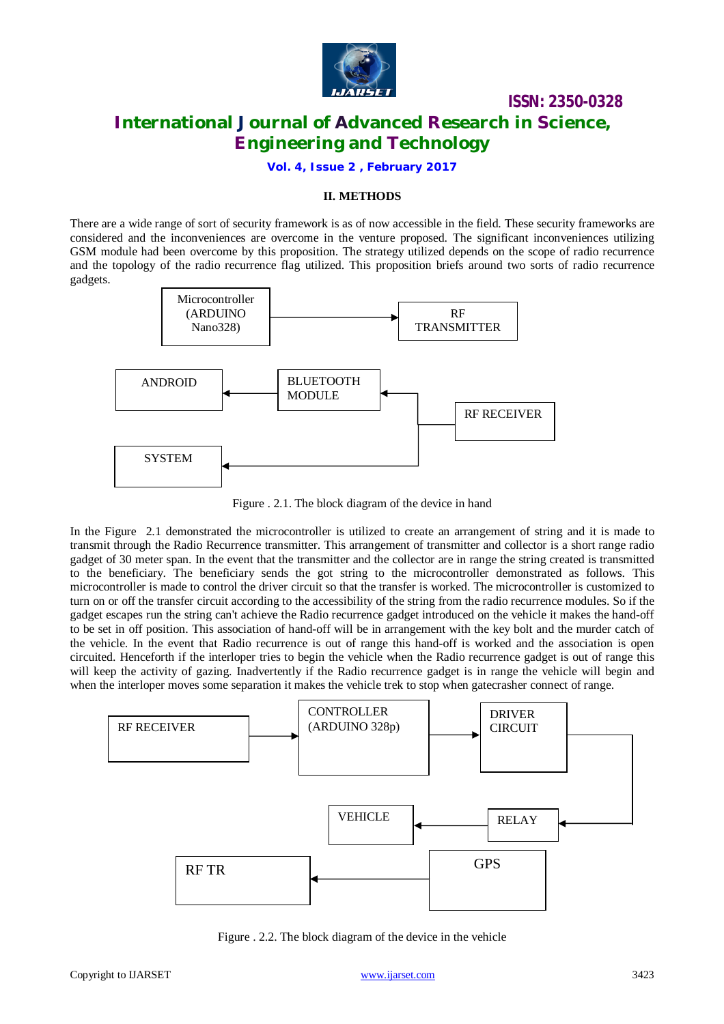

# **ISSN: 2350-0328 International Journal of Advanced Research in Science, Engineering and Technology**

**Vol. 4, Issue 2 , February 2017**

## **II. METHODS**

There are a wide range of sort of security framework is as of now accessible in the field. These security frameworks are considered and the inconveniences are overcome in the venture proposed. The significant inconveniences utilizing GSM module had been overcome by this proposition. The strategy utilized depends on the scope of radio recurrence and the topology of the radio recurrence flag utilized. This proposition briefs around two sorts of radio recurrence gadgets.



Figure . 2.1. The block diagram of the device in hand

In the Figure 2.1 demonstrated the microcontroller is utilized to create an arrangement of string and it is made to transmit through the Radio Recurrence transmitter. This arrangement of transmitter and collector is a short range radio gadget of 30 meter span. In the event that the transmitter and the collector are in range the string created is transmitted to the beneficiary. The beneficiary sends the got string to the microcontroller demonstrated as follows. This microcontroller is made to control the driver circuit so that the transfer is worked. The microcontroller is customized to turn on or off the transfer circuit according to the accessibility of the string from the radio recurrence modules. So if the gadget escapes run the string can't achieve the Radio recurrence gadget introduced on the vehicle it makes the hand-off to be set in off position. This association of hand-off will be in arrangement with the key bolt and the murder catch of the vehicle. In the event that Radio recurrence is out of range this hand-off is worked and the association is open circuited. Henceforth if the interloper tries to begin the vehicle when the Radio recurrence gadget is out of range this will keep the activity of gazing. Inadvertently if the Radio recurrence gadget is in range the vehicle will begin and when the interloper moves some separation it makes the vehicle trek to stop when gatecrasher connect of range.



Figure . 2.2. The block diagram of the device in the vehicle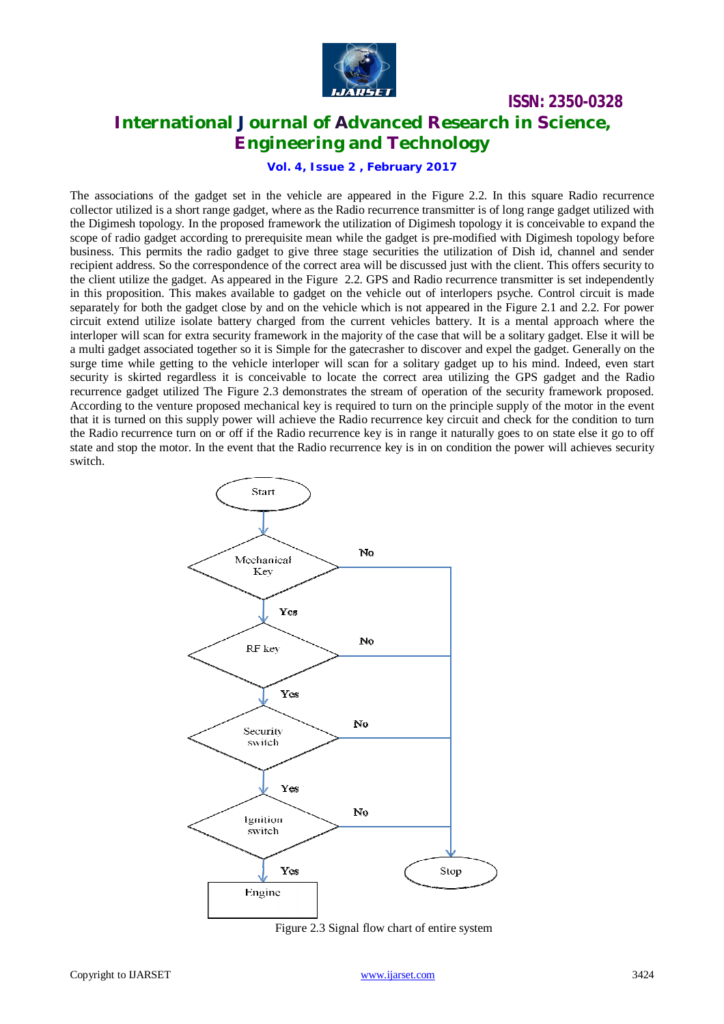

## **ISSN: 2350-0328 International Journal of Advanced Research in Science, Engineering and Technology**

**Vol. 4, Issue 2 , February 2017**

The associations of the gadget set in the vehicle are appeared in the Figure 2.2. In this square Radio recurrence collector utilized is a short range gadget, where as the Radio recurrence transmitter is of long range gadget utilized with the Digimesh topology. In the proposed framework the utilization of Digimesh topology it is conceivable to expand the scope of radio gadget according to prerequisite mean while the gadget is pre-modified with Digimesh topology before business. This permits the radio gadget to give three stage securities the utilization of Dish id, channel and sender recipient address. So the correspondence of the correct area will be discussed just with the client. This offers security to the client utilize the gadget. As appeared in the Figure 2.2. GPS and Radio recurrence transmitter is set independently in this proposition. This makes available to gadget on the vehicle out of interlopers psyche. Control circuit is made separately for both the gadget close by and on the vehicle which is not appeared in the Figure 2.1 and 2.2. For power circuit extend utilize isolate battery charged from the current vehicles battery. It is a mental approach where the interloper will scan for extra security framework in the majority of the case that will be a solitary gadget. Else it will be a multi gadget associated together so it is Simple for the gatecrasher to discover and expel the gadget. Generally on the surge time while getting to the vehicle interloper will scan for a solitary gadget up to his mind. Indeed, even start security is skirted regardless it is conceivable to locate the correct area utilizing the GPS gadget and the Radio recurrence gadget utilized The Figure 2.3 demonstrates the stream of operation of the security framework proposed. According to the venture proposed mechanical key is required to turn on the principle supply of the motor in the event that it is turned on this supply power will achieve the Radio recurrence key circuit and check for the condition to turn the Radio recurrence turn on or off if the Radio recurrence key is in range it naturally goes to on state else it go to off state and stop the motor. In the event that the Radio recurrence key is in on condition the power will achieves security switch.



Figure 2.3 Signal flow chart of entire system